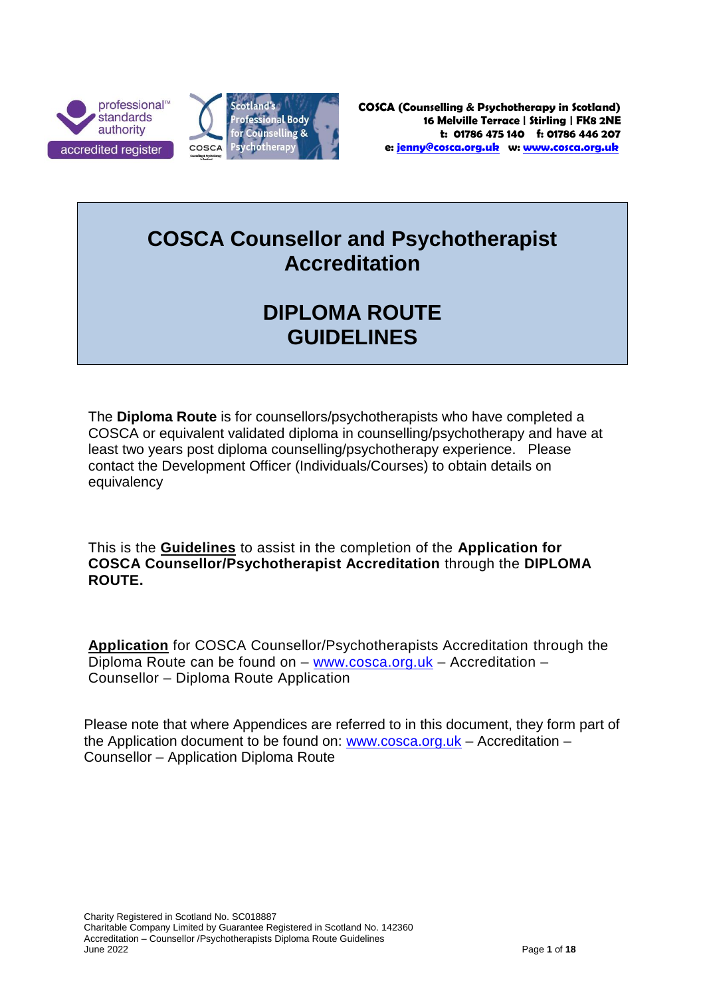



### **COSCA Counsellor and Psychotherapist Accreditation**

# **DIPLOMA ROUTE GUIDELINES**

The **Diploma Route** is for counsellors/psychotherapists who have completed a COSCA or equivalent validated diploma in counselling/psychotherapy and have at least two years post diploma counselling/psychotherapy experience. Please contact the Development Officer (Individuals/Courses) to obtain details on equivalency

This is the **Guidelines** to assist in the completion of the **Application for COSCA Counsellor/Psychotherapist Accreditation** through the **DIPLOMA ROUTE.**

**Application** for COSCA Counsellor/Psychotherapists Accreditation through the Diploma Route can be found on – [www.cosca.org.uk](http://www.cosca.org.uk/) – Accreditation – Counsellor – Diploma Route Application

Please note that where Appendices are referred to in this document, they form part of the Application document to be found on: [www.cosca.org.uk](http://www.cosca.org.uk/) – Accreditation – Counsellor – Application Diploma Route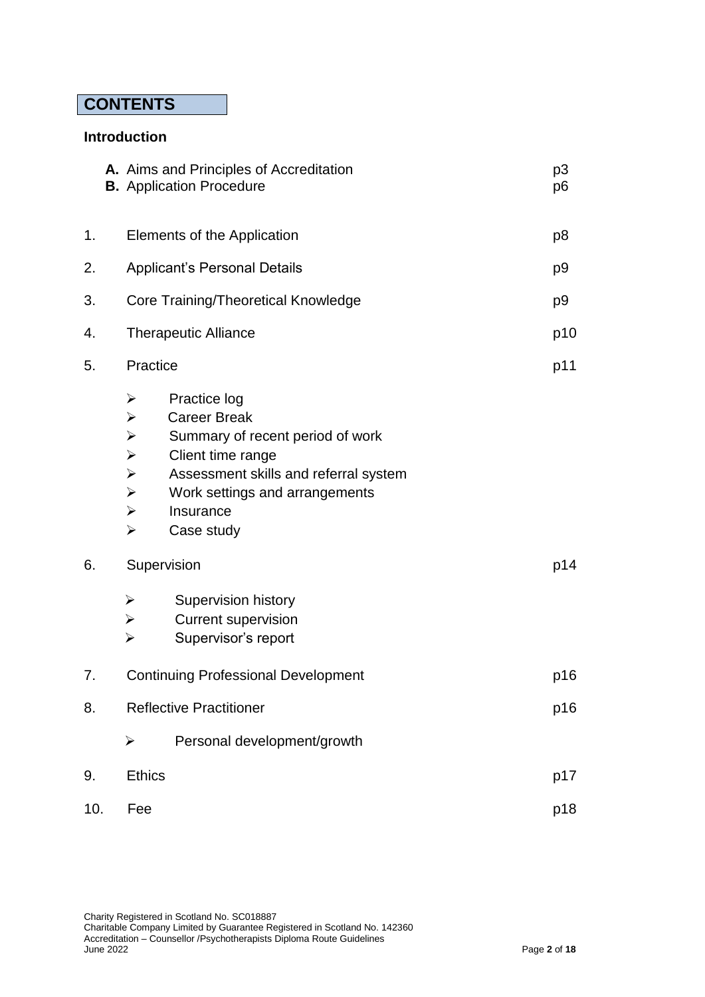### **CONTENTS**

#### **Introduction**

|     |  |                                                                                                                                                                                                      | A. Aims and Principles of Accreditation<br><b>B.</b> Application Procedure                                                                                                                         | p <sub>3</sub><br>p <sub>6</sub> |
|-----|--|------------------------------------------------------------------------------------------------------------------------------------------------------------------------------------------------------|----------------------------------------------------------------------------------------------------------------------------------------------------------------------------------------------------|----------------------------------|
| 1.  |  | Elements of the Application                                                                                                                                                                          |                                                                                                                                                                                                    | p <sub>8</sub>                   |
| 2.  |  | <b>Applicant's Personal Details</b>                                                                                                                                                                  |                                                                                                                                                                                                    | p <sub>9</sub>                   |
| 3.  |  | <b>Core Training/Theoretical Knowledge</b>                                                                                                                                                           |                                                                                                                                                                                                    | p <sub>9</sub>                   |
| 4.  |  | <b>Therapeutic Alliance</b>                                                                                                                                                                          |                                                                                                                                                                                                    | p10                              |
| 5.  |  | Practice                                                                                                                                                                                             |                                                                                                                                                                                                    | p11                              |
|     |  | $\blacktriangleright$<br>$\blacktriangleright$<br>$\blacktriangleright$<br>$\blacktriangleright$<br>$\blacktriangleright$<br>$\blacktriangleright$<br>$\blacktriangleright$<br>$\blacktriangleright$ | Practice log<br><b>Career Break</b><br>Summary of recent period of work<br>Client time range<br>Assessment skills and referral system<br>Work settings and arrangements<br>Insurance<br>Case study |                                  |
| 6.  |  | Supervision                                                                                                                                                                                          |                                                                                                                                                                                                    | p14                              |
|     |  | $\blacktriangleright$<br>$\blacktriangleright$<br>$\blacktriangleright$                                                                                                                              | Supervision history<br><b>Current supervision</b><br>Supervisor's report                                                                                                                           |                                  |
| 7.  |  | <b>Continuing Professional Development</b>                                                                                                                                                           |                                                                                                                                                                                                    | p16                              |
| 8.  |  | <b>Reflective Practitioner</b>                                                                                                                                                                       |                                                                                                                                                                                                    | p16                              |
|     |  | $\blacktriangleright$                                                                                                                                                                                | Personal development/growth                                                                                                                                                                        |                                  |
| 9.  |  | <b>Ethics</b>                                                                                                                                                                                        |                                                                                                                                                                                                    | p17                              |
| 10. |  | Fee                                                                                                                                                                                                  |                                                                                                                                                                                                    | p18                              |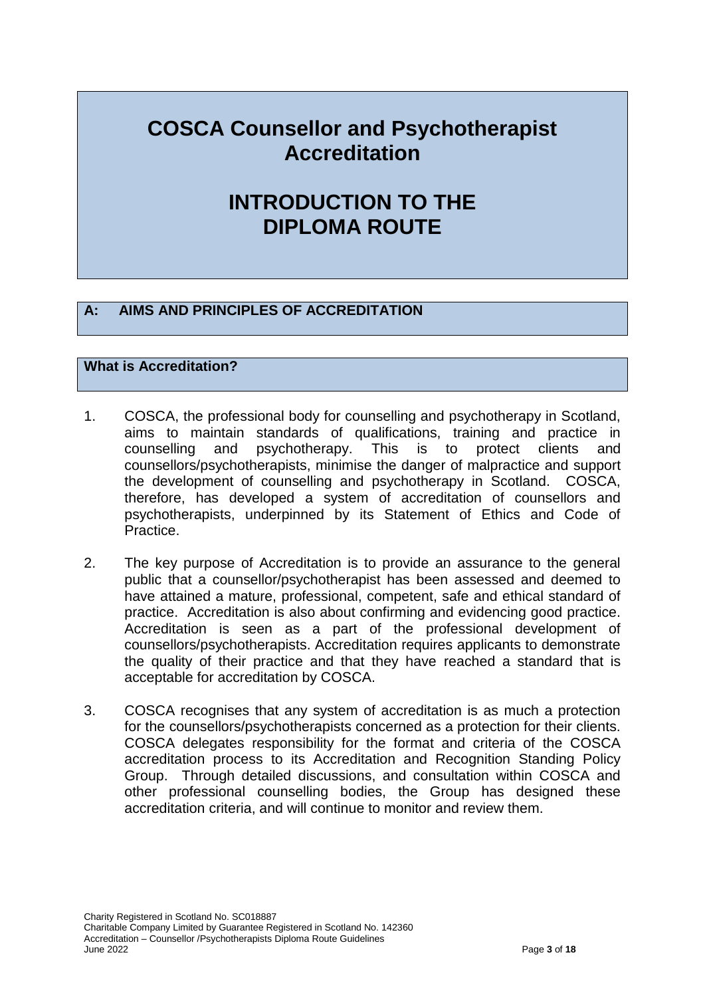### **COSCA Counsellor and Psychotherapist Accreditation**

### **INTRODUCTION TO THE DIPLOMA ROUTE**

#### **A: AIMS AND PRINCIPLES OF ACCREDITATION**

#### **What is Accreditation?**

- 1. COSCA, the professional body for counselling and psychotherapy in Scotland, aims to maintain standards of qualifications, training and practice in counselling and psychotherapy. This is to protect clients and counsellors/psychotherapists, minimise the danger of malpractice and support the development of counselling and psychotherapy in Scotland. COSCA, therefore, has developed a system of accreditation of counsellors and psychotherapists, underpinned by its Statement of Ethics and Code of Practice.
- 2. The key purpose of Accreditation is to provide an assurance to the general public that a counsellor/psychotherapist has been assessed and deemed to have attained a mature, professional, competent, safe and ethical standard of practice. Accreditation is also about confirming and evidencing good practice. Accreditation is seen as a part of the professional development of counsellors/psychotherapists. Accreditation requires applicants to demonstrate the quality of their practice and that they have reached a standard that is acceptable for accreditation by COSCA.
- 3. COSCA recognises that any system of accreditation is as much a protection for the counsellors/psychotherapists concerned as a protection for their clients. COSCA delegates responsibility for the format and criteria of the COSCA accreditation process to its Accreditation and Recognition Standing Policy Group. Through detailed discussions, and consultation within COSCA and other professional counselling bodies, the Group has designed these accreditation criteria, and will continue to monitor and review them.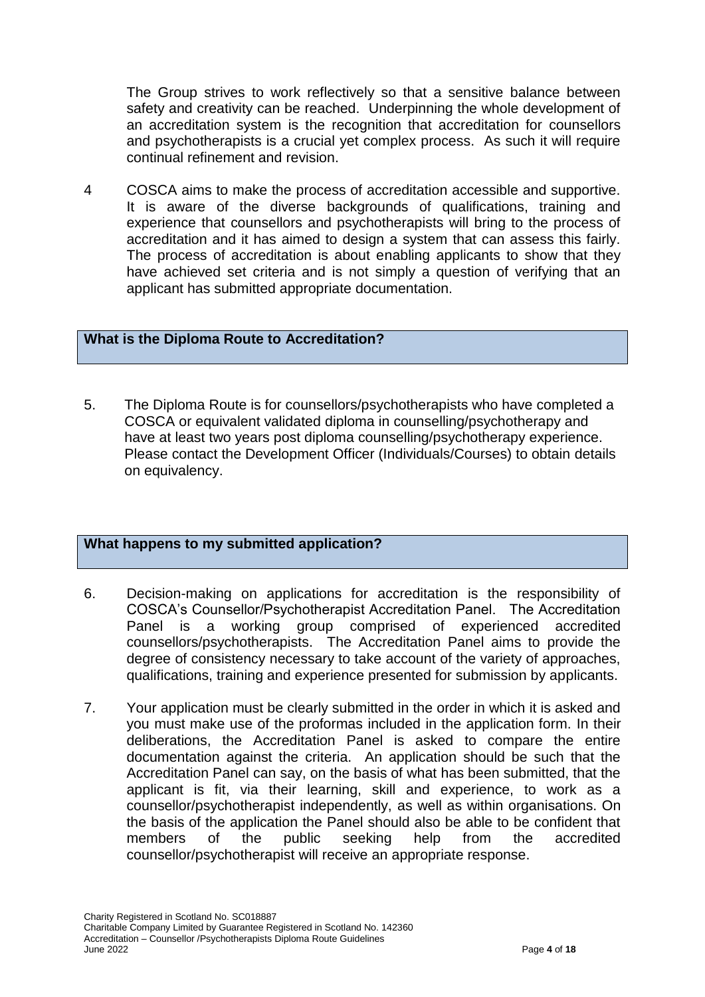The Group strives to work reflectively so that a sensitive balance between safety and creativity can be reached. Underpinning the whole development of an accreditation system is the recognition that accreditation for counsellors and psychotherapists is a crucial yet complex process. As such it will require continual refinement and revision.

4 COSCA aims to make the process of accreditation accessible and supportive. It is aware of the diverse backgrounds of qualifications, training and experience that counsellors and psychotherapists will bring to the process of accreditation and it has aimed to design a system that can assess this fairly. The process of accreditation is about enabling applicants to show that they have achieved set criteria and is not simply a question of verifying that an applicant has submitted appropriate documentation.

#### **What is the Diploma Route to Accreditation?**

5. The Diploma Route is for counsellors/psychotherapists who have completed a COSCA or equivalent validated diploma in counselling/psychotherapy and have at least two years post diploma counselling/psychotherapy experience. Please contact the Development Officer (Individuals/Courses) to obtain details on equivalency.

#### **What happens to my submitted application?**

- 6. Decision-making on applications for accreditation is the responsibility of COSCA's Counsellor/Psychotherapist Accreditation Panel. The Accreditation Panel is a working group comprised of experienced accredited counsellors/psychotherapists. The Accreditation Panel aims to provide the degree of consistency necessary to take account of the variety of approaches, qualifications, training and experience presented for submission by applicants.
- 7. Your application must be clearly submitted in the order in which it is asked and you must make use of the proformas included in the application form. In their deliberations, the Accreditation Panel is asked to compare the entire documentation against the criteria. An application should be such that the Accreditation Panel can say, on the basis of what has been submitted, that the applicant is fit, via their learning, skill and experience, to work as a counsellor/psychotherapist independently, as well as within organisations. On the basis of the application the Panel should also be able to be confident that members of the public seeking help from the accredited counsellor/psychotherapist will receive an appropriate response.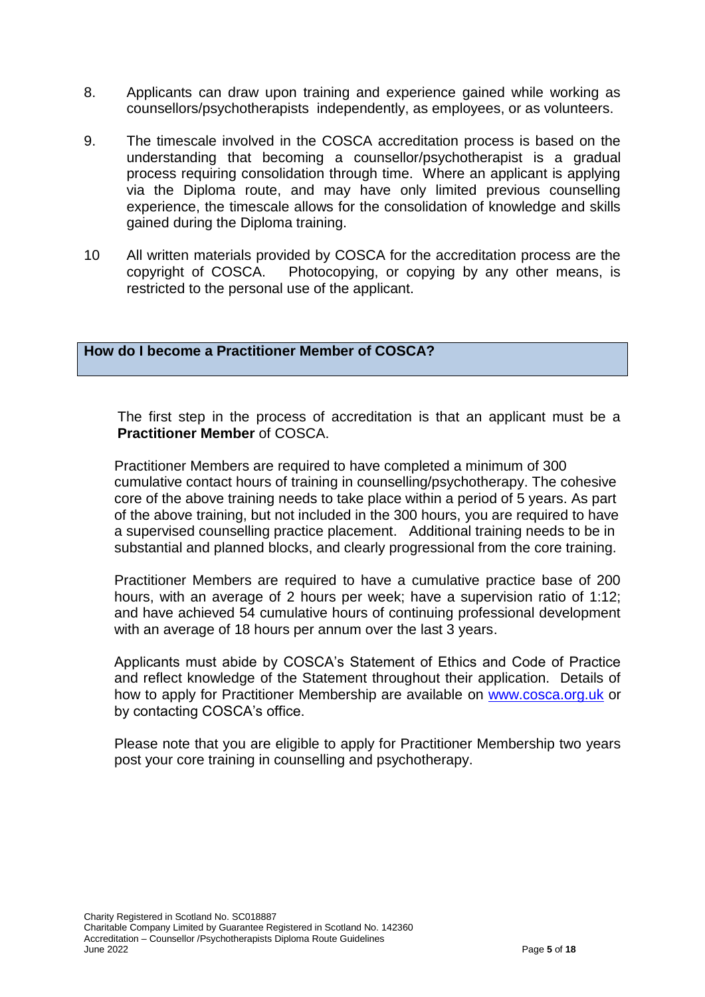- 8. Applicants can draw upon training and experience gained while working as counsellors/psychotherapists independently, as employees, or as volunteers.
- 9. The timescale involved in the COSCA accreditation process is based on the understanding that becoming a counsellor/psychotherapist is a gradual process requiring consolidation through time. Where an applicant is applying via the Diploma route, and may have only limited previous counselling experience, the timescale allows for the consolidation of knowledge and skills gained during the Diploma training.
- 10 All written materials provided by COSCA for the accreditation process are the copyright of COSCA. Photocopying, or copying by any other means, is restricted to the personal use of the applicant.

**How do I become a Practitioner Member of COSCA?**

The first step in the process of accreditation is that an applicant must be a **Practitioner Member** of COSCA.

Practitioner Members are required to have completed a minimum of 300 cumulative contact hours of training in counselling/psychotherapy. The cohesive core of the above training needs to take place within a period of 5 years. As part of the above training, but not included in the 300 hours, you are required to have a supervised counselling practice placement. Additional training needs to be in substantial and planned blocks, and clearly progressional from the core training.

Practitioner Members are required to have a cumulative practice base of 200 hours, with an average of 2 hours per week; have a supervision ratio of 1:12; and have achieved 54 cumulative hours of continuing professional development with an average of 18 hours per annum over the last 3 years.

Applicants must abide by COSCA's Statement of Ethics and Code of Practice and reflect knowledge of the Statement throughout their application. Details of how to apply for Practitioner Membership are available on [www.cosca.org.uk](http://www.cosca.org.uk/) or by contacting COSCA's office.

Please note that you are eligible to apply for Practitioner Membership two years post your core training in counselling and psychotherapy.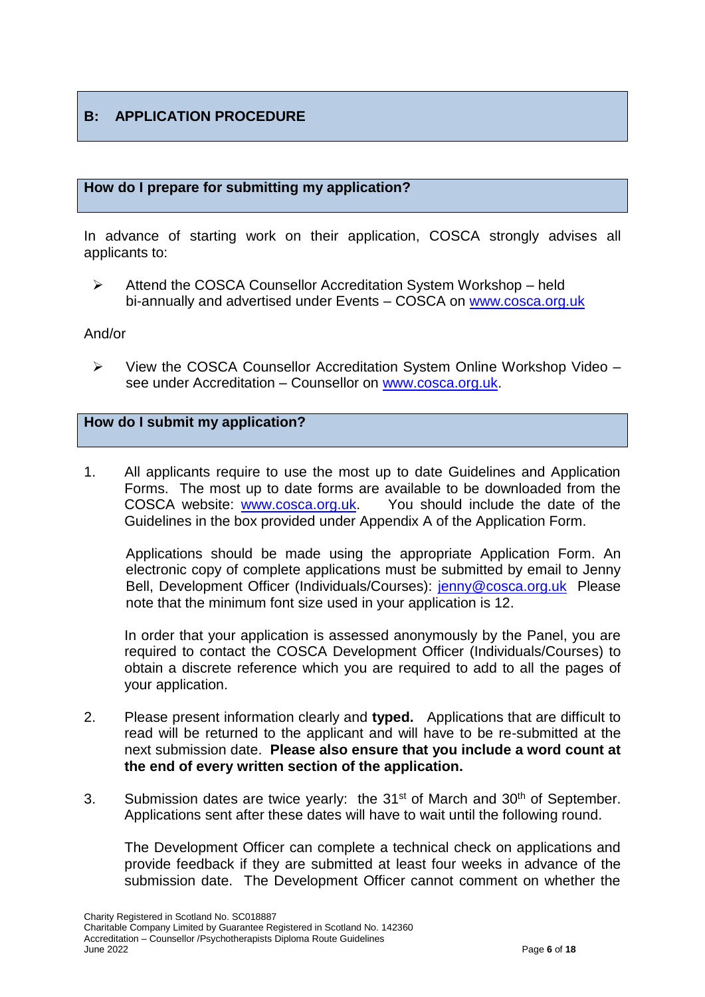### **B: APPLICATION PROCEDURE**

#### **How do I prepare for submitting my application?**

In advance of starting work on their application, COSCA strongly advises all applicants to:

 Attend the COSCA Counsellor Accreditation System Workshop – held bi-annually and advertised under Events – COSCA on [www.cosca.org.uk](http://www.cosca.org.uk/)

#### And/or

 $\triangleright$  View the COSCA Counsellor Accreditation System Online Workshop Video – see under Accreditation – Counsellor on [www.cosca.org.uk.](http://www.cosca.org.uk/)

#### **How do I submit my application?**

1. All applicants require to use the most up to date Guidelines and Application Forms. The most up to date forms are available to be downloaded from the COSCA website: [www.cosca.org.uk.](http://www.cosca.org.uk/) You should include the date of the Guidelines in the box provided under Appendix A of the Application Form.

Applications should be made using the appropriate Application Form. An electronic copy of complete applications must be submitted by email to Jenny Bell, Development Officer (Individuals/Courses): [jenny@cosca.org.uk](mailto:jenny@cosca.org.uk) Please note that the minimum font size used in your application is 12.

In order that your application is assessed anonymously by the Panel, you are required to contact the COSCA Development Officer (Individuals/Courses) to obtain a discrete reference which you are required to add to all the pages of your application.

- 2. Please present information clearly and **typed.** Applications that are difficult to read will be returned to the applicant and will have to be re-submitted at the next submission date. **Please also ensure that you include a word count at the end of every written section of the application.**
- 3. Submission dates are twice yearly: the  $31<sup>st</sup>$  of March and  $30<sup>th</sup>$  of September. Applications sent after these dates will have to wait until the following round.

The Development Officer can complete a technical check on applications and provide feedback if they are submitted at least four weeks in advance of the submission date. The Development Officer cannot comment on whether the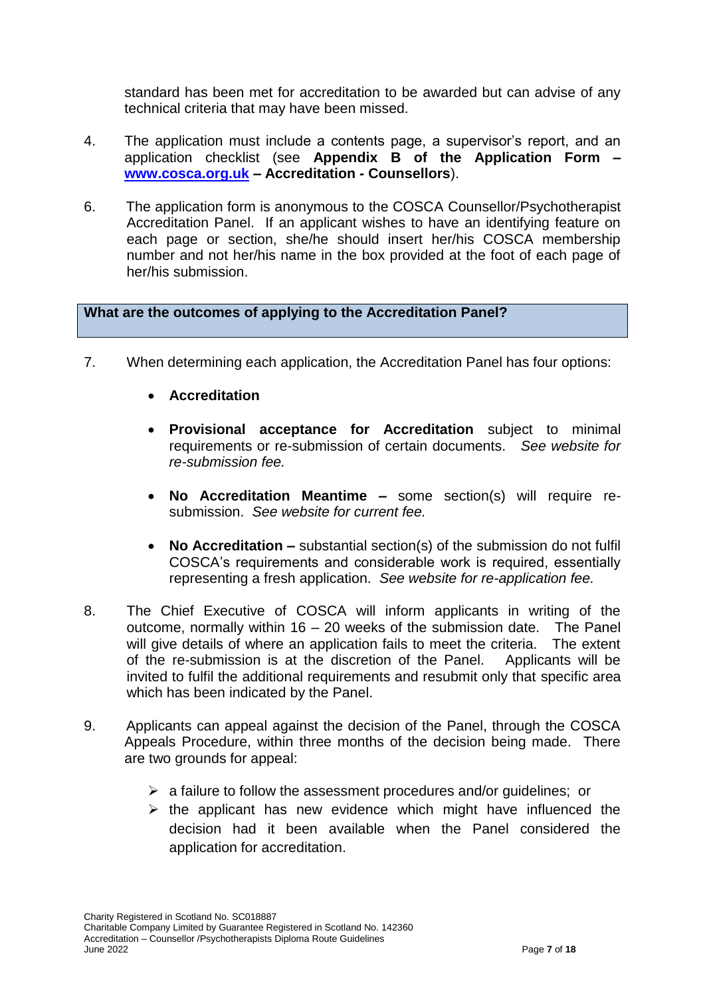standard has been met for accreditation to be awarded but can advise of any technical criteria that may have been missed.

- 4. The application must include a contents page, a supervisor's report, and an application checklist (see **Appendix B of the Application Form – [www.cosca.org.uk](http://www.cosca.org.uk/) – Accreditation - Counsellors**).
- 6. The application form is anonymous to the COSCA Counsellor/Psychotherapist Accreditation Panel. If an applicant wishes to have an identifying feature on each page or section, she/he should insert her/his COSCA membership number and not her/his name in the box provided at the foot of each page of her/his submission.

#### **What are the outcomes of applying to the Accreditation Panel?**

- 7. When determining each application, the Accreditation Panel has four options:
	- **Accreditation**
	- **Provisional acceptance for Accreditation** subject to minimal requirements or re-submission of certain documents. *See website for re-submission fee.*
	- **No Accreditation Meantime –** some section(s) will require resubmission. *See website for current fee.*
	- **No Accreditation –** substantial section(s) of the submission do not fulfil COSCA's requirements and considerable work is required, essentially representing a fresh application. *See website for re-application fee.*
- 8. The Chief Executive of COSCA will inform applicants in writing of the outcome, normally within 16 – 20 weeks of the submission date. The Panel will give details of where an application fails to meet the criteria. The extent of the re-submission is at the discretion of the Panel. Applicants will be invited to fulfil the additional requirements and resubmit only that specific area which has been indicated by the Panel.
- 9. Applicants can appeal against the decision of the Panel, through the COSCA Appeals Procedure, within three months of the decision being made. There are two grounds for appeal:
	- $\triangleright$  a failure to follow the assessment procedures and/or guidelines; or
	- $\triangleright$  the applicant has new evidence which might have influenced the decision had it been available when the Panel considered the application for accreditation.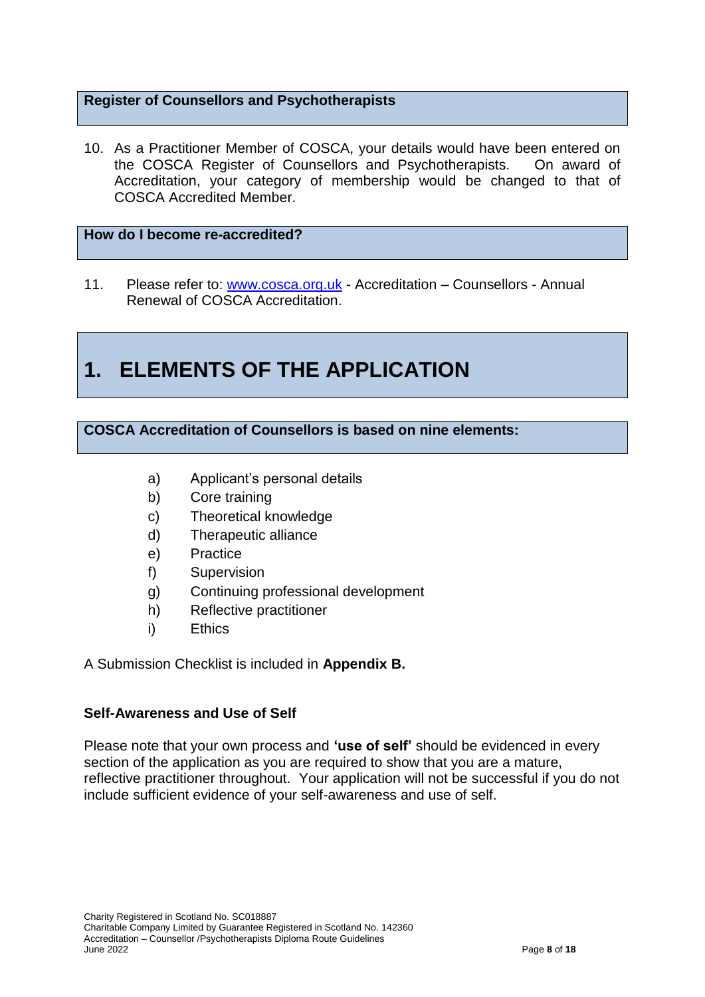#### **Register of Counsellors and Psychotherapists**

10. As a Practitioner Member of COSCA, your details would have been entered on the COSCA Register of Counsellors and Psychotherapists. On award of Accreditation, your category of membership would be changed to that of COSCA Accredited Member.

#### **How do I become re-accredited?**

11. Please refer to: [www.cosca.org.uk](http://www.cosca.org.uk/) - Accreditation – Counsellors - Annual Renewal of COSCA Accreditation.

# **1. ELEMENTS OF THE APPLICATION**

#### **COSCA Accreditation of Counsellors is based on nine elements:**

- a) Applicant's personal details
- b) Core training
- c) Theoretical knowledge
- d) Therapeutic alliance
- e) Practice
- f) Supervision
- g) Continuing professional development
- h) Reflective practitioner
- i) Ethics

A Submission Checklist is included in **Appendix B.**

#### **Self-Awareness and Use of Self**

Please note that your own process and **'use of self'** should be evidenced in every section of the application as you are required to show that you are a mature, reflective practitioner throughout. Your application will not be successful if you do not include sufficient evidence of your self-awareness and use of self.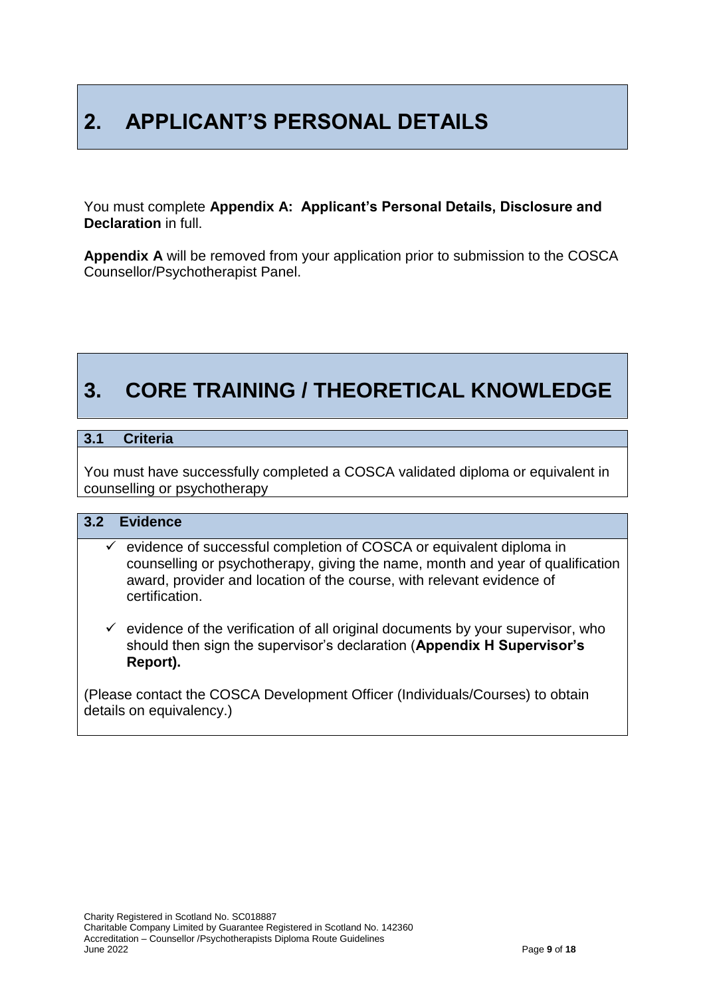# **2. APPLICANT'S PERSONAL DETAILS**

You must complete **Appendix A: Applicant's Personal Details, Disclosure and Declaration** in full.

**Appendix A** will be removed from your application prior to submission to the COSCA Counsellor/Psychotherapist Panel.

# **3. CORE TRAINING / THEORETICAL KNOWLEDGE**

#### **3.1 Criteria**

You must have successfully completed a COSCA validated diploma or equivalent in counselling or psychotherapy

#### **3.2 Evidence**

- $\checkmark$  evidence of successful completion of COSCA or equivalent diploma in counselling or psychotherapy, giving the name, month and year of qualification award, provider and location of the course, with relevant evidence of certification.
- $\checkmark$  evidence of the verification of all original documents by your supervisor, who should then sign the supervisor's declaration (**Appendix H Supervisor's Report).**

(Please contact the COSCA Development Officer (Individuals/Courses) to obtain details on equivalency.)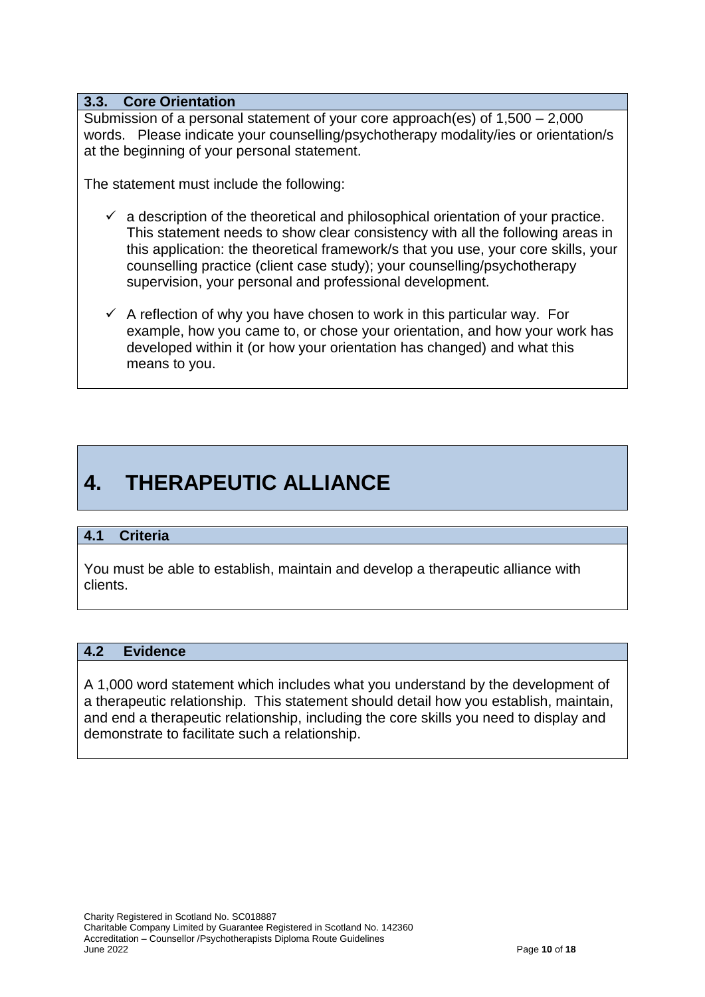#### **3.3. Core Orientation**

Submission of a personal statement of your core approach(es) of 1,500 – 2,000 words. Please indicate your counselling/psychotherapy modality/ies or orientation/s at the beginning of your personal statement.

The statement must include the following:

- $\checkmark$  a description of the theoretical and philosophical orientation of your practice. This statement needs to show clear consistency with all the following areas in this application: the theoretical framework/s that you use, your core skills, your counselling practice (client case study); your counselling/psychotherapy supervision, your personal and professional development.
- $\checkmark$  A reflection of why you have chosen to work in this particular way. For example, how you came to, or chose your orientation, and how your work has developed within it (or how your orientation has changed) and what this means to you.

# **4. THERAPEUTIC ALLIANCE**

#### **4.1 Criteria**

You must be able to establish, maintain and develop a therapeutic alliance with clients.

#### **4.2 Evidence**

A 1,000 word statement which includes what you understand by the development of a therapeutic relationship. This statement should detail how you establish, maintain, and end a therapeutic relationship, including the core skills you need to display and demonstrate to facilitate such a relationship.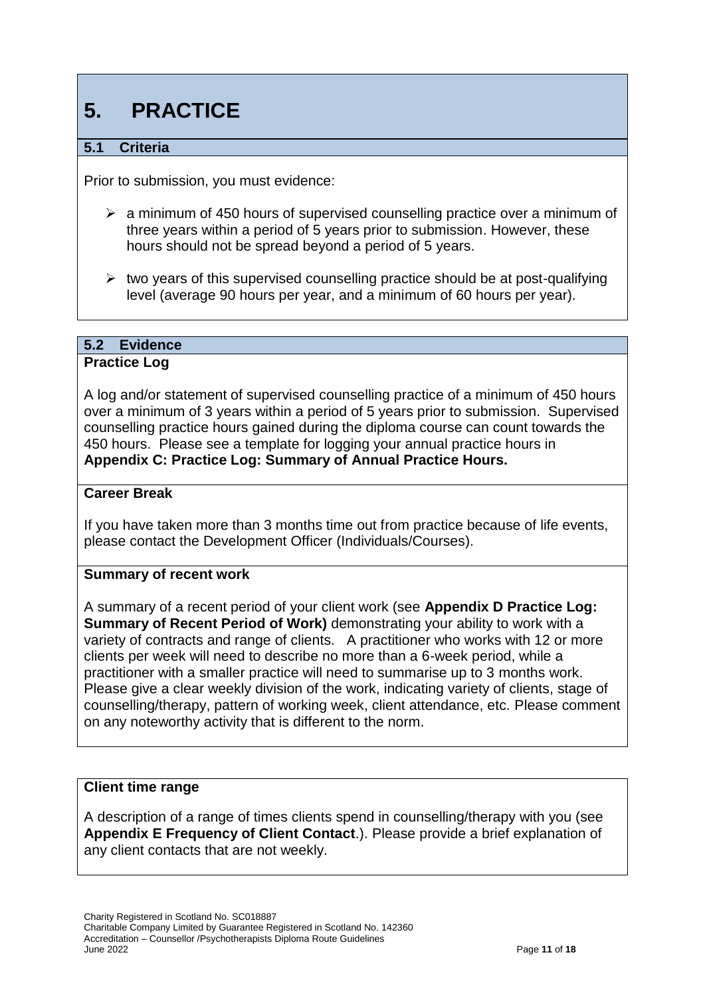# **5. PRACTICE**

#### **5.1 Criteria**

Prior to submission, you must evidence:

- $\geq$  a minimum of 450 hours of supervised counselling practice over a minimum of three years within a period of 5 years prior to submission. However, these hours should not be spread beyond a period of 5 years.
- $\triangleright$  two years of this supervised counselling practice should be at post-qualifying level (average 90 hours per year, and a minimum of 60 hours per year).

#### **5.2 Evidence**

#### **Practice Log**

A log and/or statement of supervised counselling practice of a minimum of 450 hours over a minimum of 3 years within a period of 5 years prior to submission. Supervised counselling practice hours gained during the diploma course can count towards the 450 hours. Please see a template for logging your annual practice hours in **Appendix C: Practice Log: Summary of Annual Practice Hours.**

#### **Career Break**

If you have taken more than 3 months time out from practice because of life events, please contact the Development Officer (Individuals/Courses).

#### **Summary of recent work**

A summary of a recent period of your client work (see **Appendix D Practice Log: Summary of Recent Period of Work)** demonstrating your ability to work with a variety of contracts and range of clients. A practitioner who works with 12 or more clients per week will need to describe no more than a 6-week period, while a practitioner with a smaller practice will need to summarise up to 3 months work. Please give a clear weekly division of the work, indicating variety of clients, stage of counselling/therapy, pattern of working week, client attendance, etc. Please comment on any noteworthy activity that is different to the norm.

#### **Client time range**

A description of a range of times clients spend in counselling/therapy with you (see **Appendix E Frequency of Client Contact**.). Please provide a brief explanation of any client contacts that are not weekly.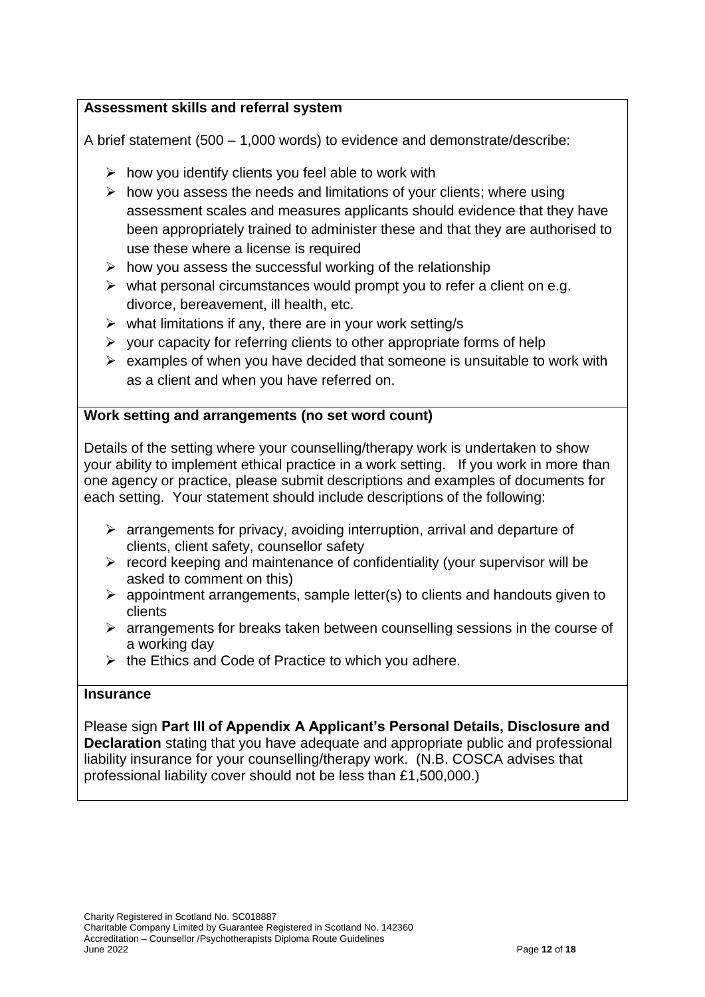#### **Assessment skills and referral system**

A brief statement (500 – 1,000 words) to evidence and demonstrate/describe:

- $\triangleright$  how you identify clients you feel able to work with
- $\triangleright$  how you assess the needs and limitations of your clients; where using assessment scales and measures applicants should evidence that they have been appropriately trained to administer these and that they are authorised to use these where a license is required
- $\triangleright$  how you assess the successful working of the relationship
- $\triangleright$  what personal circumstances would prompt you to refer a client on e.g. divorce, bereavement, ill health, etc.
- $\triangleright$  what limitations if any, there are in your work setting/s
- $\triangleright$  your capacity for referring clients to other appropriate forms of help
- $\triangleright$  examples of when you have decided that someone is unsuitable to work with as a client and when you have referred on.

#### **Work setting and arrangements (no set word count)**

Details of the setting where your counselling/therapy work is undertaken to show your ability to implement ethical practice in a work setting. If you work in more than one agency or practice, please submit descriptions and examples of documents for each setting. Your statement should include descriptions of the following:

- $\triangleright$  arrangements for privacy, avoiding interruption, arrival and departure of clients, client safety, counsellor safety
- $\triangleright$  record keeping and maintenance of confidentiality (your supervisor will be asked to comment on this)
- $\triangleright$  appointment arrangements, sample letter(s) to clients and handouts given to clients
- $\triangleright$  arrangements for breaks taken between counselling sessions in the course of a working day
- $\triangleright$  the Ethics and Code of Practice to which you adhere.

#### **Insurance**

Please sign **Part III of Appendix A Applicant's Personal Details, Disclosure and Declaration** stating that you have adequate and appropriate public and professional liability insurance for your counselling/therapy work. (N.B. COSCA advises that professional liability cover should not be less than £1,500,000.)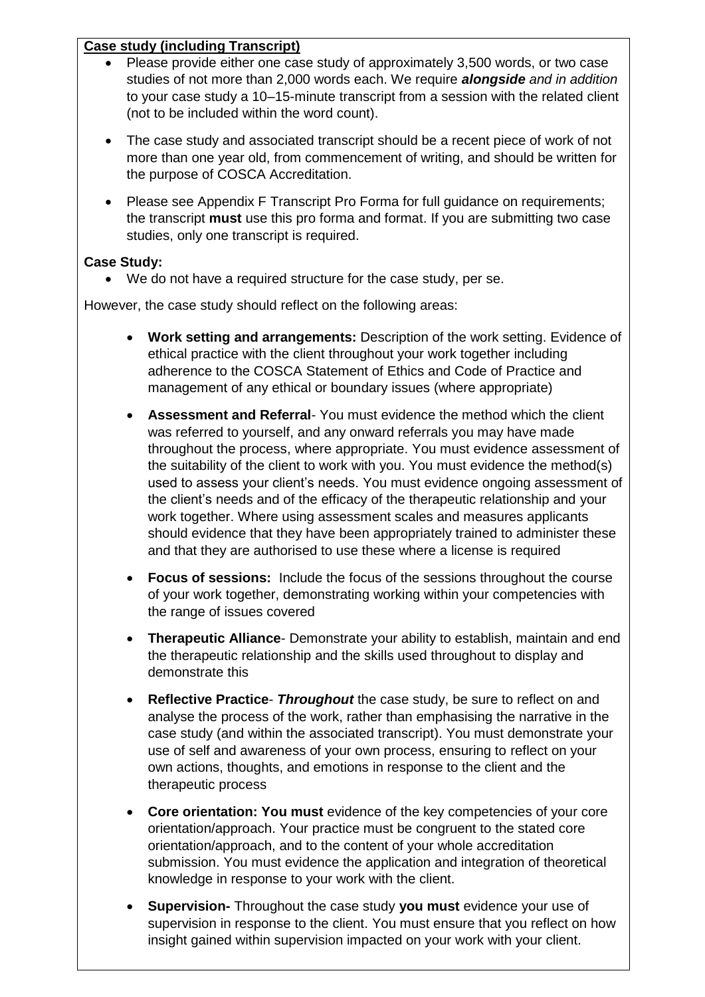#### **Case study (including Transcript)**

- Please provide either one case study of approximately 3,500 words, or two case studies of not more than 2,000 words each. We require *alongside and in addition* to your case study a 10–15-minute transcript from a session with the related client (not to be included within the word count).
- The case study and associated transcript should be a recent piece of work of not more than one year old, from commencement of writing, and should be written for the purpose of COSCA Accreditation.
- Please see Appendix F Transcript Pro Forma for full guidance on requirements; the transcript **must** use this pro forma and format. If you are submitting two case studies, only one transcript is required.

#### **Case Study:**

We do not have a required structure for the case study, per se.

However, the case study should reflect on the following areas:

- **Work setting and arrangements:** Description of the work setting. Evidence of ethical practice with the client throughout your work together including adherence to the COSCA Statement of Ethics and Code of Practice and management of any ethical or boundary issues (where appropriate)
- **Assessment and Referral** You must evidence the method which the client was referred to yourself, and any onward referrals you may have made throughout the process, where appropriate. You must evidence assessment of the suitability of the client to work with you. You must evidence the method(s) used to assess your client's needs. You must evidence ongoing assessment of the client's needs and of the efficacy of the therapeutic relationship and your work together. Where using assessment scales and measures applicants should evidence that they have been appropriately trained to administer these and that they are authorised to use these where a license is required
- **Focus of sessions:** Include the focus of the sessions throughout the course of your work together, demonstrating working within your competencies with the range of issues covered
- **Therapeutic Alliance** Demonstrate your ability to establish, maintain and end the therapeutic relationship and the skills used throughout to display and demonstrate this
- **Reflective Practice** *Throughout* the case study, be sure to reflect on and analyse the process of the work, rather than emphasising the narrative in the case study (and within the associated transcript). You must demonstrate your use of self and awareness of your own process, ensuring to reflect on your own actions, thoughts, and emotions in response to the client and the therapeutic process
- **Core orientation: You must** evidence of the key competencies of your core orientation/approach. Your practice must be congruent to the stated core orientation/approach, and to the content of your whole accreditation submission. You must evidence the application and integration of theoretical knowledge in response to your work with the client.
- Charity Registered in Scotland No. SC018887 supervision in response to the client. You must ensure that you reflect on how insight gained within supervision impact insight gained within supervision impacted on your work with your client. **Supervision-** Throughout the case study **you must** evidence your use of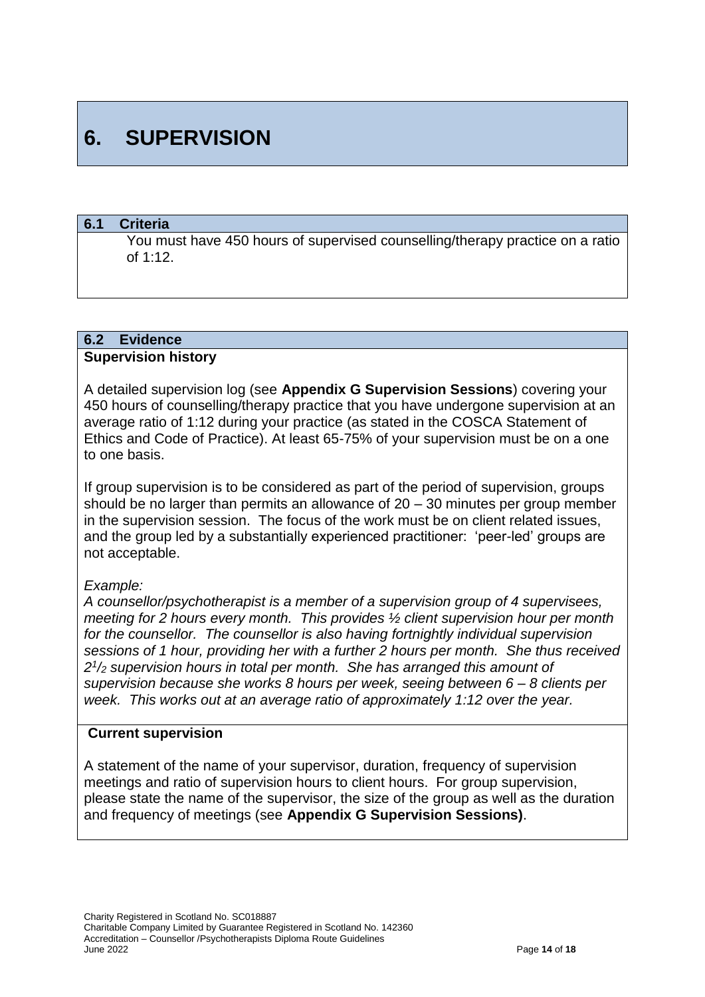# **6. SUPERVISION**

#### **6.1 Criteria**

You must have 450 hours of supervised counselling/therapy practice on a ratio of 1:12.

### **6.2 Evidence**

#### **Supervision history**

A detailed supervision log (see **Appendix G Supervision Sessions**) covering your 450 hours of counselling/therapy practice that you have undergone supervision at an average ratio of 1:12 during your practice (as stated in the COSCA Statement of Ethics and Code of Practice). At least 65-75% of your supervision must be on a one to one basis.

If group supervision is to be considered as part of the period of supervision, groups should be no larger than permits an allowance of 20 – 30 minutes per group member in the supervision session. The focus of the work must be on client related issues, and the group led by a substantially experienced practitioner: 'peer-led' groups are not acceptable.

#### *Example:*

*A counsellor/psychotherapist is a member of a supervision group of 4 supervisees, meeting for 2 hours every month. This provides ½ client supervision hour per month for the counsellor. The counsellor is also having fortnightly individual supervision sessions of 1 hour, providing her with a further 2 hours per month. She thus received 2 1 /<sup>2</sup> supervision hours in total per month. She has arranged this amount of supervision because she works 8 hours per week, seeing between 6 – 8 clients per week. This works out at an average ratio of approximately 1:12 over the year.*

#### **Current supervision**

A statement of the name of your supervisor, duration, frequency of supervision meetings and ratio of supervision hours to client hours. For group supervision, please state the name of the supervisor, the size of the group as well as the duration and frequency of meetings (see **Appendix G Supervision Sessions)**.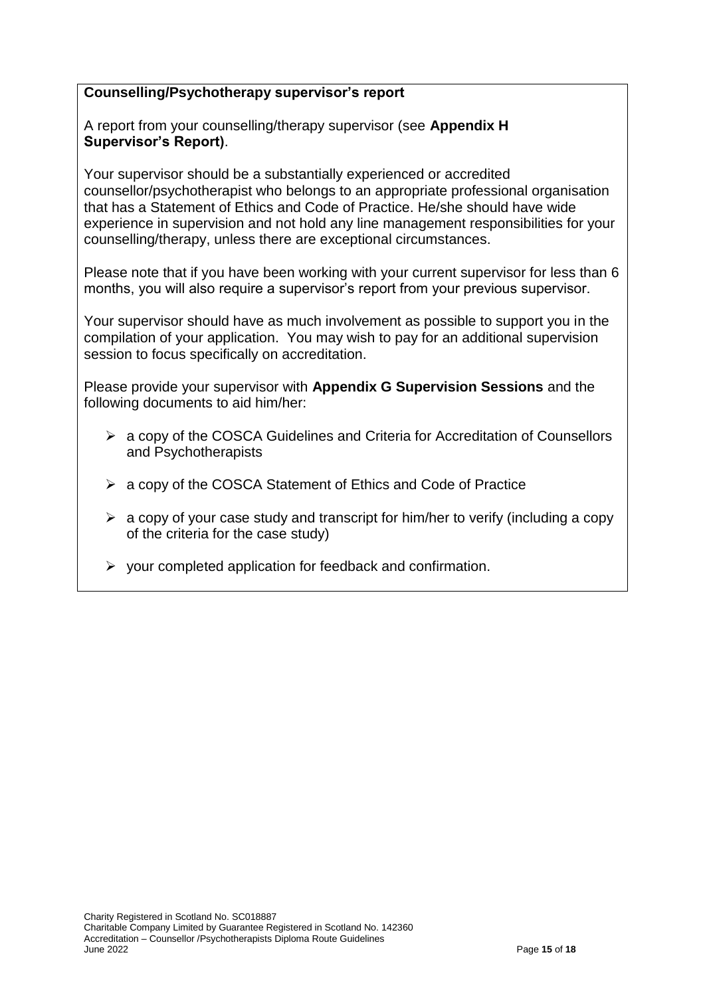#### **Counselling/Psychotherapy supervisor's report**

A report from your counselling/therapy supervisor (see **Appendix H Supervisor's Report)**.

Your supervisor should be a substantially experienced or accredited counsellor/psychotherapist who belongs to an appropriate professional organisation that has a Statement of Ethics and Code of Practice. He/she should have wide experience in supervision and not hold any line management responsibilities for your counselling/therapy, unless there are exceptional circumstances.

Please note that if you have been working with your current supervisor for less than 6 months, you will also require a supervisor's report from your previous supervisor.

Your supervisor should have as much involvement as possible to support you in the compilation of your application. You may wish to pay for an additional supervision session to focus specifically on accreditation.

Please provide your supervisor with **Appendix G Supervision Sessions** and the following documents to aid him/her:

- a copy of the COSCA Guidelines and Criteria for Accreditation of Counsellors and Psychotherapists
- $\triangleright$  a copy of the COSCA Statement of Ethics and Code of Practice
- $\triangleright$  a copy of your case study and transcript for him/her to verify (including a copy of the criteria for the case study)
- $\triangleright$  your completed application for feedback and confirmation.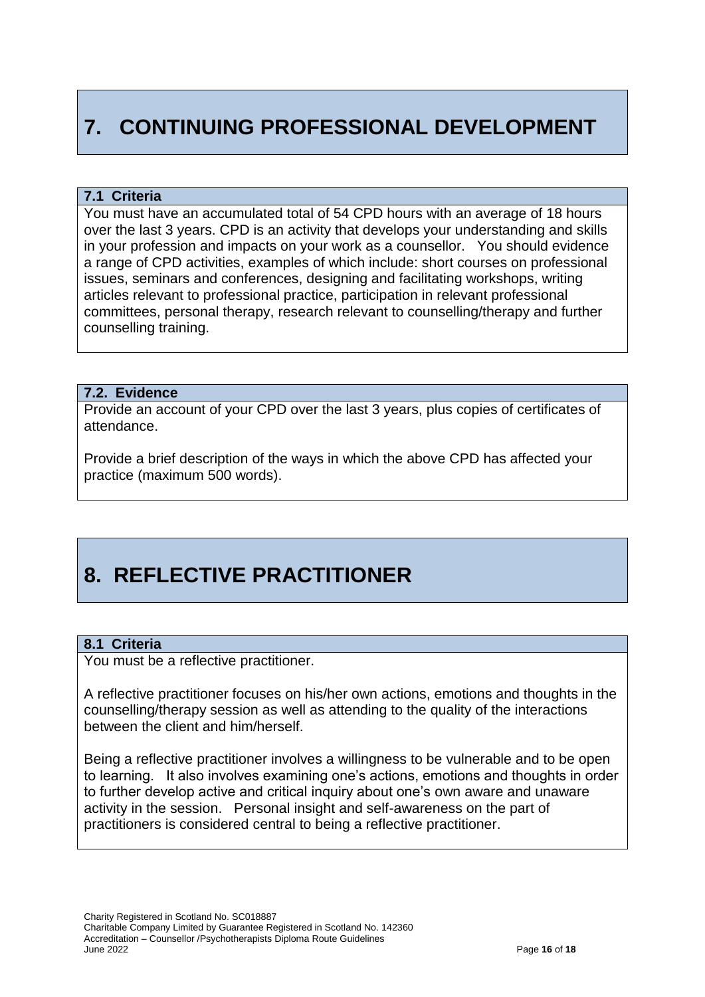# **7. CONTINUING PROFESSIONAL DEVELOPMENT**

#### **7.1 Criteria**

You must have an accumulated total of 54 CPD hours with an average of 18 hours over the last 3 years. CPD is an activity that develops your understanding and skills in your profession and impacts on your work as a counsellor. You should evidence a range of CPD activities, examples of which include: short courses on professional issues, seminars and conferences, designing and facilitating workshops, writing articles relevant to professional practice, participation in relevant professional committees, personal therapy, research relevant to counselling/therapy and further counselling training.

#### **7.2. Evidence**

Provide an account of your CPD over the last 3 years, plus copies of certificates of attendance.

Provide a brief description of the ways in which the above CPD has affected your practice (maximum 500 words).

# **8. REFLECTIVE PRACTITIONER**

#### **8.1 Criteria**

You must be a reflective practitioner.

A reflective practitioner focuses on his/her own actions, emotions and thoughts in the counselling/therapy session as well as attending to the quality of the interactions between the client and him/herself.

Being a reflective practitioner involves a willingness to be vulnerable and to be open to learning. It also involves examining one's actions, emotions and thoughts in order to further develop active and critical inquiry about one's own aware and unaware activity in the session. Personal insight and self-awareness on the part of practitioners is considered central to being a reflective practitioner.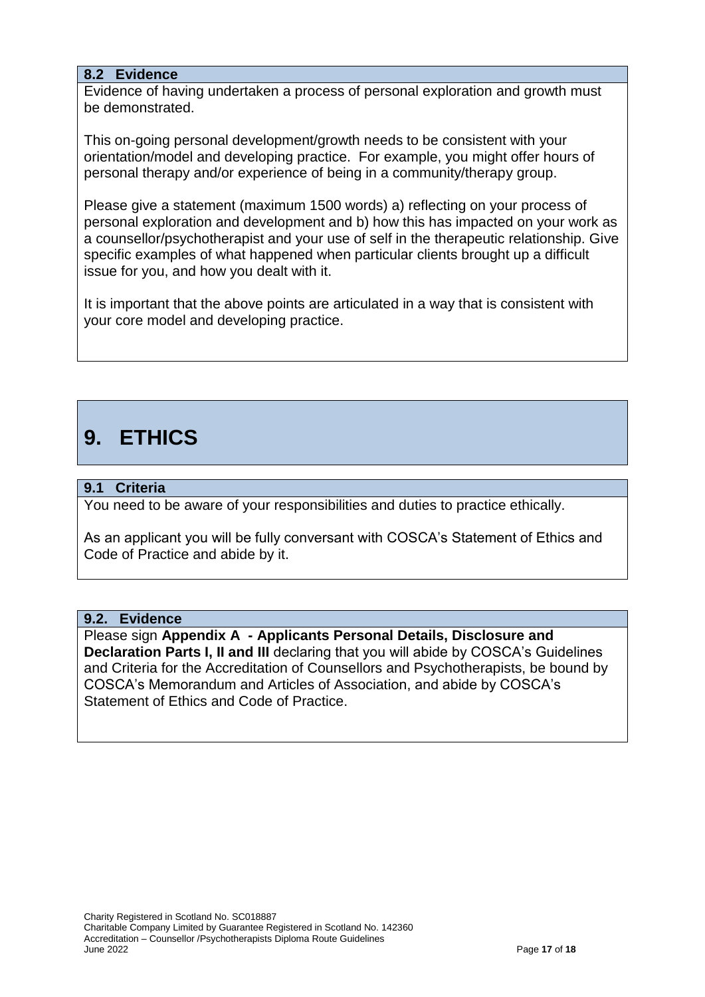#### **8.2 Evidence**

Evidence of having undertaken a process of personal exploration and growth must be demonstrated.

This on-going personal development/growth needs to be consistent with your orientation/model and developing practice. For example, you might offer hours of personal therapy and/or experience of being in a community/therapy group.

Please give a statement (maximum 1500 words) a) reflecting on your process of personal exploration and development and b) how this has impacted on your work as a counsellor/psychotherapist and your use of self in the therapeutic relationship. Give specific examples of what happened when particular clients brought up a difficult issue for you, and how you dealt with it.

It is important that the above points are articulated in a way that is consistent with your core model and developing practice.

# **9. ETHICS**

#### **9.1 Criteria**

You need to be aware of your responsibilities and duties to practice ethically.

As an applicant you will be fully conversant with COSCA's Statement of Ethics and Code of Practice and abide by it.

#### **9.2. Evidence**

Please sign **Appendix A - Applicants Personal Details, Disclosure and Declaration Parts I, II and III** declaring that you will abide by COSCA's Guidelines and Criteria for the Accreditation of Counsellors and Psychotherapists, be bound by COSCA's Memorandum and Articles of Association, and abide by COSCA's Statement of Ethics and Code of Practice.